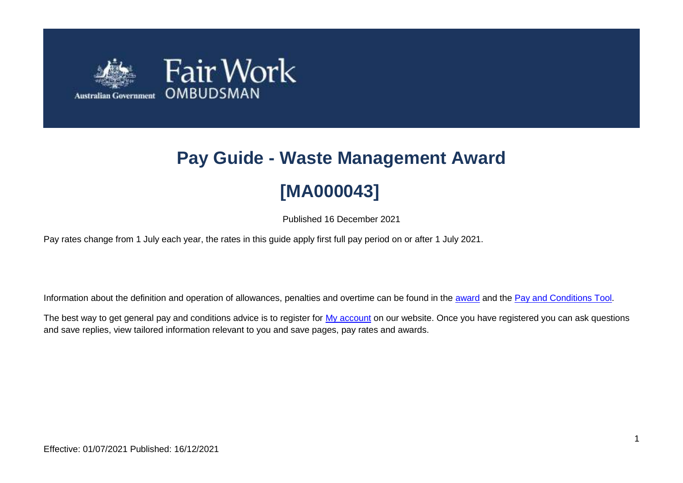

# **Pay Guide - Waste Management Award [MA000043]**

Published 16 December 2021

Pay rates change from 1 July each year, the rates in this guide apply first full pay period on or after 1 July 2021.

Information about the definition and operation of allowances, penalties and overtime can be found in the [award](https://www.fairwork.gov.au/awards-and-agreements/awards/list-of-awards) and the [Pay and Conditions Tool.](https://calculate.fairwork.gov.au/)

The best way to get general pay and conditions advice is to register for [My account](https://www.fairwork.gov.au/my-account/registerpage.aspx) on our website. Once you have registered you can ask questions and save replies, view tailored information relevant to you and save pages, pay rates and awards.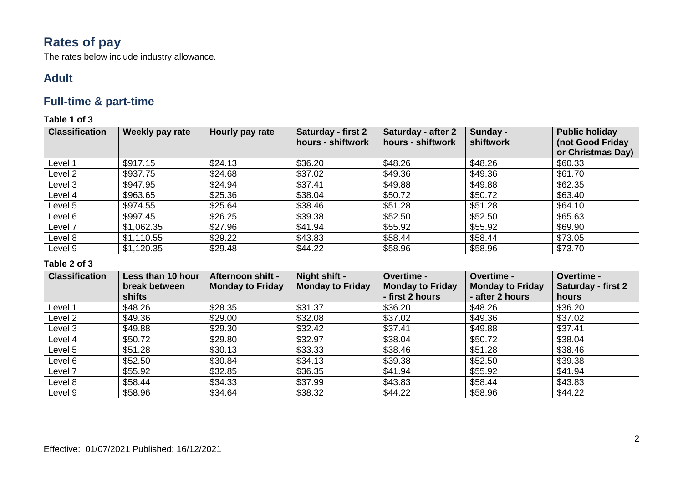# **Rates of pay**

The rates below include industry allowance.

### **Adult**

### **Full-time & part-time**

### **Table 1 of 3**

| <b>Classification</b> | Weekly pay rate | Hourly pay rate | <b>Saturday - first 2</b><br>hours - shiftwork | Saturday - after 2<br>hours - shiftwork | Sunday -<br>shiftwork | <b>Public holiday</b><br>(not Good Friday |
|-----------------------|-----------------|-----------------|------------------------------------------------|-----------------------------------------|-----------------------|-------------------------------------------|
|                       |                 |                 |                                                |                                         |                       | or Christmas Day)                         |
| Level 1               | \$917.15        | \$24.13         | \$36.20                                        | \$48.26                                 | \$48.26               | \$60.33                                   |
| Level 2               | \$937.75        | \$24.68         | \$37.02                                        | \$49.36                                 | \$49.36               | \$61.70                                   |
| Level 3               | \$947.95        | \$24.94         | \$37.41                                        | \$49.88                                 | \$49.88               | \$62.35                                   |
| Level 4               | \$963.65        | \$25.36         | \$38.04                                        | \$50.72                                 | \$50.72               | \$63.40                                   |
| Level 5               | \$974.55        | \$25.64         | \$38.46                                        | \$51.28                                 | \$51.28               | \$64.10                                   |
| Level 6               | \$997.45        | \$26.25         | \$39.38                                        | \$52.50                                 | \$52.50               | \$65.63                                   |
| Level 7               | \$1,062.35      | \$27.96         | \$41.94                                        | \$55.92                                 | \$55.92               | \$69.90                                   |
| Level 8               | \$1,110.55      | \$29.22         | \$43.83                                        | \$58.44                                 | \$58.44               | \$73.05                                   |
| Level 9               | \$1,120.35      | \$29.48         | \$44.22                                        | \$58.96                                 | \$58.96               | \$73.70                                   |

| <b>Classification</b> | Less than 10 hour | Afternoon shift -       | Night shift -           | Overtime -              | Overtime -              | Overtime -                |
|-----------------------|-------------------|-------------------------|-------------------------|-------------------------|-------------------------|---------------------------|
|                       | break between     | <b>Monday to Friday</b> | <b>Monday to Friday</b> | <b>Monday to Friday</b> | <b>Monday to Friday</b> | <b>Saturday - first 2</b> |
|                       | shifts            |                         |                         | - first 2 hours         | - after 2 hours         | hours                     |
| Level 1               | \$48.26           | \$28.35                 | \$31.37                 | \$36.20                 | \$48.26                 | \$36.20                   |
| Level 2               | \$49.36           | \$29.00                 | \$32.08                 | \$37.02                 | \$49.36                 | \$37.02                   |
| Level 3               | \$49.88           | \$29.30                 | \$32.42                 | \$37.41                 | \$49.88                 | \$37.41                   |
| Level 4               | \$50.72           | \$29.80                 | \$32.97                 | \$38.04                 | \$50.72                 | \$38.04                   |
| Level 5               | \$51.28           | \$30.13                 | \$33.33                 | \$38.46                 | \$51.28                 | \$38.46                   |
| Level 6               | \$52.50           | \$30.84                 | \$34.13                 | \$39.38                 | \$52.50                 | \$39.38                   |
| Level 7               | \$55.92           | \$32.85                 | \$36.35                 | \$41.94                 | \$55.92                 | \$41.94                   |
| Level 8               | \$58.44           | \$34.33                 | \$37.99                 | \$43.83                 | \$58.44                 | \$43.83                   |
| Level 9               | \$58.96           | \$34.64                 | \$38.32                 | \$44.22                 | \$58.96                 | \$44.22                   |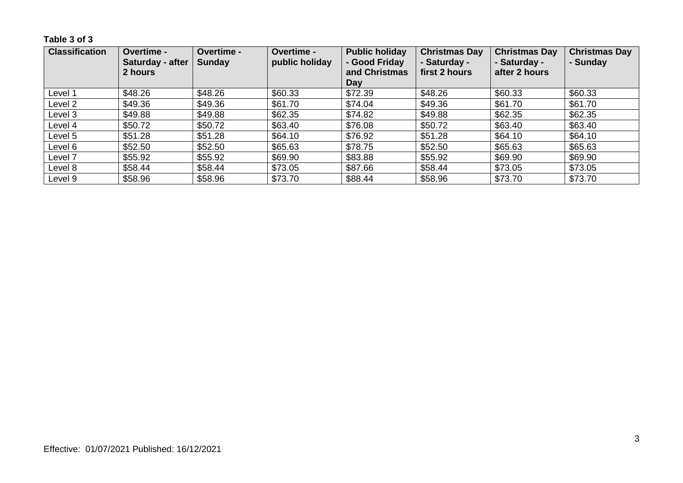**Table 3 of 3**

| <b>Classification</b> | <b>Overtime -</b><br>Saturday - after<br>2 hours | <b>Overtime -</b><br><b>Sunday</b> | <b>Overtime -</b><br>public holiday | <b>Public holiday</b><br>- Good Friday<br>and Christmas<br>Day | <b>Christmas Day</b><br>- Saturday -<br>first 2 hours | <b>Christmas Day</b><br>- Saturday -<br>after 2 hours | <b>Christmas Day</b><br>- Sunday |
|-----------------------|--------------------------------------------------|------------------------------------|-------------------------------------|----------------------------------------------------------------|-------------------------------------------------------|-------------------------------------------------------|----------------------------------|
| Level 1               | \$48.26                                          | \$48.26                            | \$60.33                             | \$72.39                                                        | \$48.26                                               | \$60.33                                               | \$60.33                          |
| Level 2               | \$49.36                                          | \$49.36                            | \$61.70                             | \$74.04                                                        | \$49.36                                               | \$61.70                                               | \$61.70                          |
| Level 3               | \$49.88                                          | \$49.88                            | \$62.35                             | \$74.82                                                        | \$49.88                                               | \$62.35                                               | \$62.35                          |
| Level 4               | \$50.72                                          | \$50.72                            | \$63.40                             | \$76.08                                                        | \$50.72                                               | \$63.40                                               | \$63.40                          |
| Level 5               | \$51.28                                          | \$51.28                            | \$64.10                             | \$76.92                                                        | \$51.28                                               | \$64.10                                               | \$64.10                          |
| Level 6               | \$52.50                                          | \$52.50                            | \$65.63                             | \$78.75                                                        | \$52.50                                               | \$65.63                                               | \$65.63                          |
| Level 7               | \$55.92                                          | \$55.92                            | \$69.90                             | \$83.88                                                        | \$55.92                                               | \$69.90                                               | \$69.90                          |
| Level 8               | \$58.44                                          | \$58.44                            | \$73.05                             | \$87.66                                                        | \$58.44                                               | \$73.05                                               | \$73.05                          |
| Level 9               | \$58.96                                          | \$58.96                            | \$73.70                             | \$88.44                                                        | \$58.96                                               | \$73.70                                               | \$73.70                          |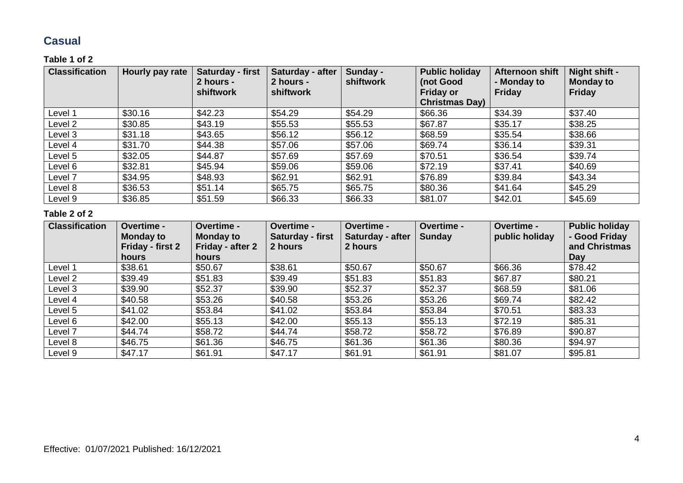### **Casual**

### **Table 1 of 2**

| <b>Classification</b> | Hourly pay rate | Saturday - first<br>2 hours -<br><b>shiftwork</b> | Saturday - after<br>2 hours -<br>shiftwork | Sunday -<br>shiftwork | <b>Public holiday</b><br>(not Good<br><b>Friday or</b><br><b>Christmas Day)</b> | Afternoon shift<br>- Monday to<br><b>Friday</b> | Night shift -<br><b>Monday to</b><br><b>Friday</b> |
|-----------------------|-----------------|---------------------------------------------------|--------------------------------------------|-----------------------|---------------------------------------------------------------------------------|-------------------------------------------------|----------------------------------------------------|
| Level 1               | \$30.16         | \$42.23                                           | \$54.29                                    | \$54.29               | \$66.36                                                                         | \$34.39                                         | \$37.40                                            |
| Level 2               | \$30.85         | \$43.19                                           | \$55.53                                    | \$55.53               | \$67.87                                                                         | \$35.17                                         | \$38.25                                            |
| Level 3               | \$31.18         | \$43.65                                           | \$56.12                                    | \$56.12               | \$68.59                                                                         | \$35.54                                         | \$38.66                                            |
| Level 4               | \$31.70         | \$44.38                                           | \$57.06                                    | \$57.06               | \$69.74                                                                         | \$36.14                                         | \$39.31                                            |
| Level 5               | \$32.05         | \$44.87                                           | \$57.69                                    | \$57.69               | \$70.51                                                                         | \$36.54                                         | \$39.74                                            |
| Level 6               | \$32.81         | \$45.94                                           | \$59.06                                    | \$59.06               | \$72.19                                                                         | \$37.41                                         | \$40.69                                            |
| Level 7               | \$34.95         | \$48.93                                           | \$62.91                                    | \$62.91               | \$76.89                                                                         | \$39.84                                         | \$43.34                                            |
| Level 8               | \$36.53         | \$51.14                                           | \$65.75                                    | \$65.75               | \$80.36                                                                         | \$41.64                                         | \$45.29                                            |
| Level 9               | \$36.85         | \$51.59                                           | \$66.33                                    | \$66.33               | \$81.07                                                                         | \$42.01                                         | \$45.69                                            |

| <b>Classification</b> | Overtime -<br><b>Monday to</b><br>Friday - first 2<br>hours | Overtime -<br><b>Monday to</b><br>Friday - after 2<br><b>hours</b> | Overtime -<br>Saturday - first<br>2 hours | Overtime -<br>Saturday - after<br>2 hours | Overtime -<br>Sunday | Overtime -<br>public holiday | <b>Public holiday</b><br>- Good Friday<br>and Christmas<br>Day |
|-----------------------|-------------------------------------------------------------|--------------------------------------------------------------------|-------------------------------------------|-------------------------------------------|----------------------|------------------------------|----------------------------------------------------------------|
| Level 1               | \$38.61                                                     | \$50.67                                                            | \$38.61                                   | \$50.67                                   | \$50.67              | \$66.36                      | \$78.42                                                        |
| Level 2               | \$39.49                                                     | \$51.83                                                            | \$39.49                                   | \$51.83                                   | \$51.83              | \$67.87                      | \$80.21                                                        |
| Level 3               | \$39.90                                                     | \$52.37                                                            | \$39.90                                   | \$52.37                                   | \$52.37              | \$68.59                      | \$81.06                                                        |
| Level 4               | \$40.58                                                     | \$53.26                                                            | \$40.58                                   | \$53.26                                   | \$53.26              | \$69.74                      | \$82.42                                                        |
| Level 5               | \$41.02                                                     | \$53.84                                                            | \$41.02                                   | \$53.84                                   | \$53.84              | \$70.51                      | \$83.33                                                        |
| Level 6               | \$42.00                                                     | \$55.13                                                            | \$42.00                                   | \$55.13                                   | \$55.13              | \$72.19                      | \$85.31                                                        |
| Level 7               | \$44.74                                                     | \$58.72                                                            | \$44.74                                   | \$58.72                                   | \$58.72              | \$76.89                      | \$90.87                                                        |
| Level 8               | \$46.75                                                     | \$61.36                                                            | \$46.75                                   | \$61.36                                   | \$61.36              | \$80.36                      | \$94.97                                                        |
| Level 9               | \$47.17                                                     | \$61.91                                                            | \$47.17                                   | \$61.91                                   | \$61.91              | \$81.07                      | \$95.81                                                        |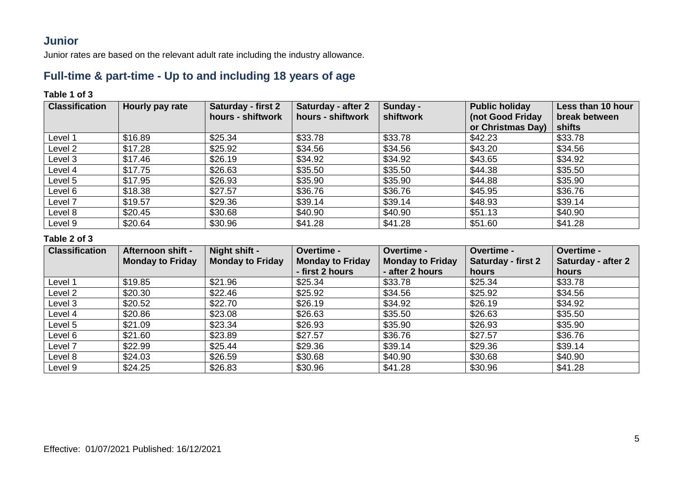### **Junior**

Junior rates are based on the relevant adult rate including the industry allowance.

### **Full-time & part-time - Up to and including 18 years of age**

### **Table 1 of 3**

| <b>Classification</b> | <b>Hourly pay rate</b> | <b>Saturday - first 2</b> | <b>Saturday - after 2</b> | Sunday -  | <b>Public holiday</b> | Less than 10 hour |
|-----------------------|------------------------|---------------------------|---------------------------|-----------|-----------------------|-------------------|
|                       |                        | hours - shiftwork         | hours - shiftwork         | shiftwork | (not Good Friday      | break between     |
|                       |                        |                           |                           |           | or Christmas Day)     | shifts            |
| Level 1               | \$16.89                | \$25.34                   | \$33.78                   | \$33.78   | \$42.23               | \$33.78           |
| Level 2               | \$17.28                | \$25.92                   | \$34.56                   | \$34.56   | \$43.20               | \$34.56           |
| Level 3               | \$17.46                | \$26.19                   | \$34.92                   | \$34.92   | \$43.65               | \$34.92           |
| Level 4               | \$17.75                | \$26.63                   | \$35.50                   | \$35.50   | \$44.38               | \$35.50           |
| Level 5               | \$17.95                | \$26.93                   | \$35.90                   | \$35.90   | \$44.88               | \$35.90           |
| Level 6               | \$18.38                | \$27.57                   | \$36.76                   | \$36.76   | \$45.95               | \$36.76           |
| Level 7               | \$19.57                | \$29.36                   | \$39.14                   | \$39.14   | \$48.93               | \$39.14           |
| Level 8               | \$20.45                | \$30.68                   | \$40.90                   | \$40.90   | \$51.13               | \$40.90           |
| Level 9               | \$20.64                | \$30.96                   | \$41.28                   | \$41.28   | \$51.60               | \$41.28           |

| <b>Classification</b> | Afternoon shift -       | Night shift -           | Overtime -              | Overtime -              | Overtime -         | <b>Overtime -</b>  |
|-----------------------|-------------------------|-------------------------|-------------------------|-------------------------|--------------------|--------------------|
|                       | <b>Monday to Friday</b> | <b>Monday to Friday</b> | <b>Monday to Friday</b> | <b>Monday to Friday</b> | Saturday - first 2 | Saturday - after 2 |
|                       |                         |                         | - first 2 hours         | - after 2 hours         | hours              | hours              |
| Level 1               | \$19.85                 | \$21.96                 | \$25.34                 | \$33.78                 | \$25.34            | \$33.78            |
| Level 2               | \$20.30                 | \$22.46                 | \$25.92                 | \$34.56                 | \$25.92            | \$34.56            |
| Level 3               | \$20.52                 | \$22.70                 | \$26.19                 | \$34.92                 | \$26.19            | \$34.92            |
| Level 4               | \$20.86                 | \$23.08                 | \$26.63                 | \$35.50                 | \$26.63            | \$35.50            |
| Level 5               | \$21.09                 | \$23.34                 | \$26.93                 | \$35.90                 | \$26.93            | \$35.90            |
| Level 6               | \$21.60                 | \$23.89                 | \$27.57                 | \$36.76                 | \$27.57            | \$36.76            |
| Level 7               | \$22.99                 | \$25.44                 | \$29.36                 | \$39.14                 | \$29.36            | \$39.14            |
| Level 8               | \$24.03                 | \$26.59                 | \$30.68                 | \$40.90                 | \$30.68            | \$40.90            |
| Level 9               | \$24.25                 | \$26.83                 | \$30.96                 | \$41.28                 | \$30.96            | \$41.28            |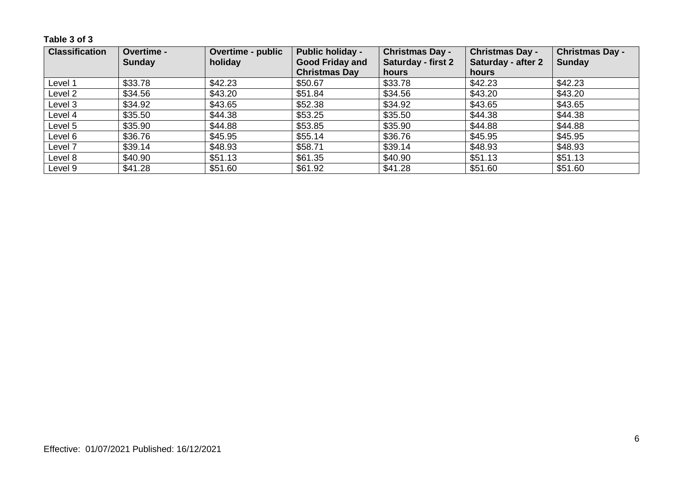**Table 3 of 3**

| <b>Classification</b> | Overtime -    | <b>Overtime - public</b> | <b>Public holiday -</b> | <b>Christmas Day -</b>    | <b>Christmas Day -</b>    | <b>Christmas Day -</b> |
|-----------------------|---------------|--------------------------|-------------------------|---------------------------|---------------------------|------------------------|
|                       | <b>Sunday</b> | holiday                  | <b>Good Friday and</b>  | <b>Saturday - first 2</b> | <b>Saturday - after 2</b> | <b>Sunday</b>          |
|                       |               |                          | <b>Christmas Day</b>    | hours                     | hours                     |                        |
| Level 1               | \$33.78       | \$42.23                  | \$50.67                 | \$33.78                   | \$42.23                   | \$42.23                |
| Level 2               | \$34.56       | \$43.20                  | \$51.84                 | \$34.56                   | \$43.20                   | \$43.20                |
| Level 3               | \$34.92       | \$43.65                  | \$52.38                 | \$34.92                   | \$43.65                   | \$43.65                |
| Level 4               | \$35.50       | \$44.38                  | \$53.25                 | \$35.50                   | \$44.38                   | \$44.38                |
| Level 5               | \$35.90       | \$44.88                  | \$53.85                 | \$35.90                   | \$44.88                   | \$44.88                |
| Level 6               | \$36.76       | \$45.95                  | \$55.14                 | \$36.76                   | \$45.95                   | \$45.95                |
| Level 7               | \$39.14       | \$48.93                  | \$58.71                 | \$39.14                   | \$48.93                   | \$48.93                |
| Level 8               | \$40.90       | \$51.13                  | \$61.35                 | \$40.90                   | \$51.13                   | \$51.13                |
| Level 9               | \$41.28       | \$51.60                  | \$61.92                 | \$41.28                   | \$51.60                   | \$51.60                |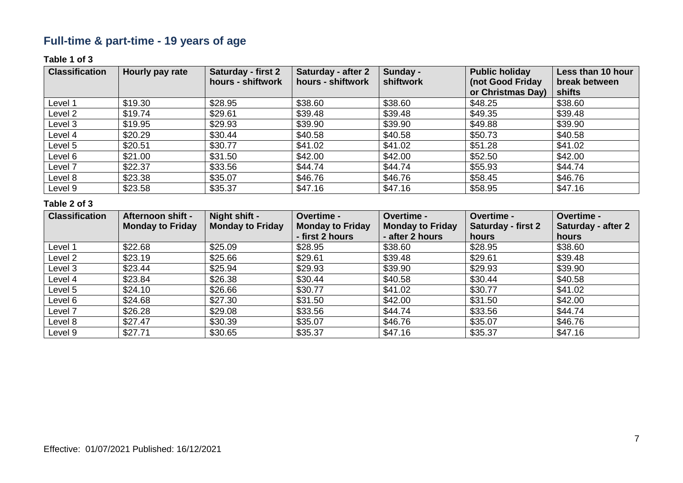# **Full-time & part-time - 19 years of age**

### **Table 1 of 3**

| <b>Classification</b> | Hourly pay rate | <b>Saturday - first 2</b><br>hours - shiftwork | Saturday - after 2<br>hours - shiftwork | Sunday -<br>shiftwork | <b>Public holiday</b><br>(not Good Friday | Less than 10 hour<br>break between |
|-----------------------|-----------------|------------------------------------------------|-----------------------------------------|-----------------------|-------------------------------------------|------------------------------------|
|                       |                 |                                                |                                         |                       | or Christmas Day)                         | shifts                             |
| Level 1               | \$19.30         | \$28.95                                        | \$38.60                                 | \$38.60               | \$48.25                                   | \$38.60                            |
| Level 2               | \$19.74         | \$29.61                                        | \$39.48                                 | \$39.48               | \$49.35                                   | \$39.48                            |
| Level 3               | \$19.95         | \$29.93                                        | \$39.90                                 | \$39.90               | \$49.88                                   | \$39.90                            |
| Level 4               | \$20.29         | \$30.44                                        | \$40.58                                 | \$40.58               | \$50.73                                   | \$40.58                            |
| Level 5               | \$20.51         | \$30.77                                        | \$41.02                                 | \$41.02               | \$51.28                                   | \$41.02                            |
| Level 6               | \$21.00         | \$31.50                                        | \$42.00                                 | \$42.00               | \$52.50                                   | \$42.00                            |
| Level 7               | \$22.37         | \$33.56                                        | \$44.74                                 | \$44.74               | \$55.93                                   | \$44.74                            |
| Level 8               | \$23.38         | \$35.07                                        | \$46.76                                 | \$46.76               | \$58.45                                   | \$46.76                            |
| Level 9               | \$23.58         | \$35.37                                        | \$47.16                                 | \$47.16               | \$58.95                                   | \$47.16                            |

| <b>Classification</b> | Afternoon shift -       | Night shift -           | Overtime -              | Overtime -              | Overtime -         | <b>Overtime -</b>  |
|-----------------------|-------------------------|-------------------------|-------------------------|-------------------------|--------------------|--------------------|
|                       | <b>Monday to Friday</b> | <b>Monday to Friday</b> | <b>Monday to Friday</b> | <b>Monday to Friday</b> | Saturday - first 2 | Saturday - after 2 |
|                       |                         |                         | - first 2 hours         | - after 2 hours         | hours              | hours              |
| Level 1               | \$22.68                 | \$25.09                 | \$28.95                 | \$38.60                 | \$28.95            | \$38.60            |
| Level 2               | \$23.19                 | \$25.66                 | \$29.61                 | \$39.48                 | \$29.61            | \$39.48            |
| Level 3               | \$23.44                 | \$25.94                 | \$29.93                 | \$39.90                 | \$29.93            | \$39.90            |
| Level 4               | \$23.84                 | \$26.38                 | \$30.44                 | \$40.58                 | \$30.44            | \$40.58            |
| Level 5               | \$24.10                 | \$26.66                 | \$30.77                 | \$41.02                 | \$30.77            | \$41.02            |
| Level 6               | \$24.68                 | \$27.30                 | \$31.50                 | \$42.00                 | \$31.50            | \$42.00            |
| Level 7               | \$26.28                 | \$29.08                 | \$33.56                 | \$44.74                 | \$33.56            | \$44.74            |
| Level 8               | \$27.47                 | \$30.39                 | \$35.07                 | \$46.76                 | \$35.07            | \$46.76            |
| Level 9               | \$27.71                 | \$30.65                 | \$35.37                 | \$47.16                 | \$35.37            | \$47.16            |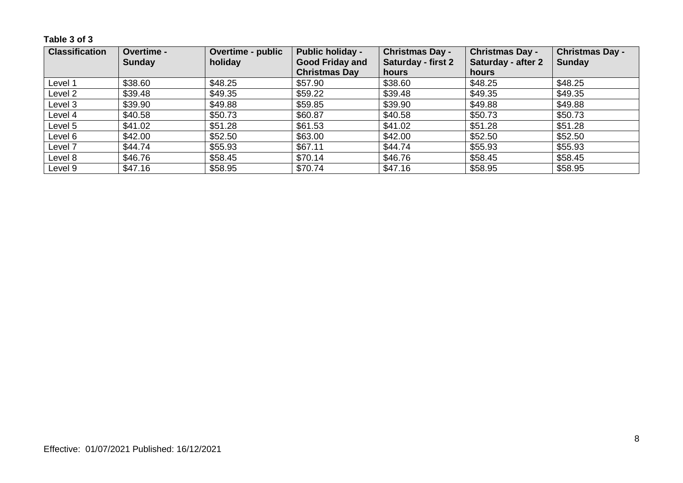**Table 3 of 3**

| <b>Classification</b> | Overtime -    | <b>Overtime - public</b> | <b>Public holiday -</b> | <b>Christmas Day -</b>    | <b>Christmas Day -</b>    | <b>Christmas Day -</b> |
|-----------------------|---------------|--------------------------|-------------------------|---------------------------|---------------------------|------------------------|
|                       | <b>Sunday</b> | holiday                  | <b>Good Friday and</b>  | <b>Saturday - first 2</b> | <b>Saturday - after 2</b> | <b>Sunday</b>          |
|                       |               |                          | <b>Christmas Day</b>    | hours                     | hours                     |                        |
| Level 1               | \$38.60       | \$48.25                  | \$57.90                 | \$38.60                   | \$48.25                   | \$48.25                |
| Level 2               | \$39.48       | \$49.35                  | \$59.22                 | \$39.48                   | \$49.35                   | \$49.35                |
| Level 3               | \$39.90       | \$49.88                  | \$59.85                 | \$39.90                   | \$49.88                   | \$49.88                |
| Level 4               | \$40.58       | \$50.73                  | \$60.87                 | \$40.58                   | \$50.73                   | \$50.73                |
| Level 5               | \$41.02       | \$51.28                  | \$61.53                 | \$41.02                   | \$51.28                   | \$51.28                |
| Level 6               | \$42.00       | \$52.50                  | \$63.00                 | \$42.00                   | \$52.50                   | \$52.50                |
| Level 7               | \$44.74       | \$55.93                  | \$67.11                 | \$44.74                   | \$55.93                   | \$55.93                |
| Level 8               | \$46.76       | \$58.45                  | \$70.14                 | \$46.76                   | \$58.45                   | \$58.45                |
| Level 9               | \$47.16       | \$58.95                  | \$70.74                 | \$47.16                   | \$58.95                   | \$58.95                |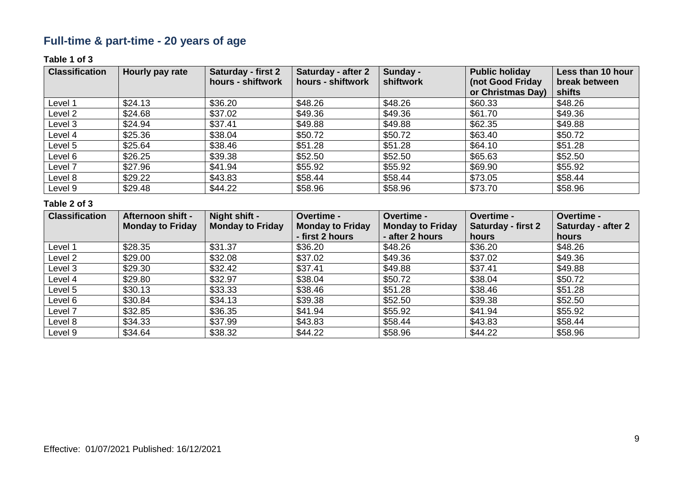# **Full-time & part-time - 20 years of age**

### **Table 1 of 3**

| <b>Classification</b> | Hourly pay rate | Saturday - first 2 | Saturday - after 2 | Sunday -  | <b>Public holiday</b> | Less than 10 hour |
|-----------------------|-----------------|--------------------|--------------------|-----------|-----------------------|-------------------|
|                       |                 | hours - shiftwork  | hours - shiftwork  | shiftwork | (not Good Friday      | break between     |
|                       |                 |                    |                    |           | or Christmas Day)     | shifts            |
| Level 1               | \$24.13         | \$36.20            | \$48.26            | \$48.26   | \$60.33               | \$48.26           |
| Level 2               | \$24.68         | \$37.02            | \$49.36            | \$49.36   | \$61.70               | \$49.36           |
| Level 3               | \$24.94         | \$37.41            | \$49.88            | \$49.88   | \$62.35               | \$49.88           |
| Level 4               | \$25.36         | \$38.04            | \$50.72            | \$50.72   | \$63.40               | \$50.72           |
| Level 5               | \$25.64         | \$38.46            | \$51.28            | \$51.28   | \$64.10               | \$51.28           |
| Level 6               | \$26.25         | \$39.38            | \$52.50            | \$52.50   | \$65.63               | \$52.50           |
| Level 7               | \$27.96         | \$41.94            | \$55.92            | \$55.92   | \$69.90               | \$55.92           |
| Level 8               | \$29.22         | \$43.83            | \$58.44            | \$58.44   | \$73.05               | \$58.44           |
| Level 9               | \$29.48         | \$44.22            | \$58.96            | \$58.96   | \$73.70               | \$58.96           |

| <b>Classification</b> | Afternoon shift -       | Night shift -           | Overtime -              | Overtime -              | Overtime -                | <b>Overtime -</b>  |
|-----------------------|-------------------------|-------------------------|-------------------------|-------------------------|---------------------------|--------------------|
|                       | <b>Monday to Friday</b> | <b>Monday to Friday</b> | <b>Monday to Friday</b> | <b>Monday to Friday</b> | <b>Saturday - first 2</b> | Saturday - after 2 |
|                       |                         |                         | - first 2 hours         | - after 2 hours         | hours                     | hours              |
| Level 1               | \$28.35                 | \$31.37                 | \$36.20                 | \$48.26                 | \$36.20                   | \$48.26            |
| Level 2               | \$29.00                 | \$32.08                 | \$37.02                 | \$49.36                 | \$37.02                   | \$49.36            |
| Level 3               | \$29.30                 | \$32.42                 | \$37.41                 | \$49.88                 | \$37.41                   | \$49.88            |
| Level 4               | \$29.80                 | \$32.97                 | \$38.04                 | \$50.72                 | \$38.04                   | \$50.72            |
| Level 5               | \$30.13                 | \$33.33                 | \$38.46                 | \$51.28                 | \$38.46                   | \$51.28            |
| Level 6               | \$30.84                 | \$34.13                 | \$39.38                 | \$52.50                 | \$39.38                   | \$52.50            |
| Level 7               | \$32.85                 | \$36.35                 | \$41.94                 | \$55.92                 | \$41.94                   | \$55.92            |
| Level 8               | \$34.33                 | \$37.99                 | \$43.83                 | \$58.44                 | \$43.83                   | \$58.44            |
| Level 9               | \$34.64                 | \$38.32                 | \$44.22                 | \$58.96                 | \$44.22                   | \$58.96            |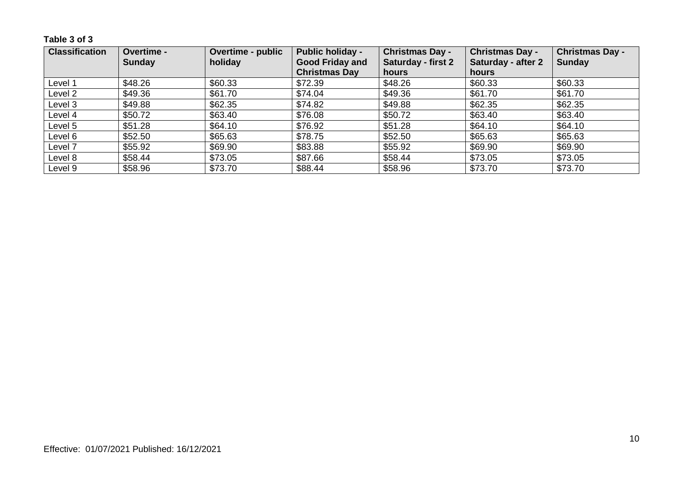**Table 3 of 3**

| <b>Classification</b> | Overtime -    | <b>Overtime - public</b> | <b>Public holiday -</b> | <b>Christmas Day -</b>    | <b>Christmas Day -</b>    | <b>Christmas Day -</b> |
|-----------------------|---------------|--------------------------|-------------------------|---------------------------|---------------------------|------------------------|
|                       | <b>Sunday</b> | holiday                  | <b>Good Friday and</b>  | <b>Saturday - first 2</b> | <b>Saturday - after 2</b> | <b>Sunday</b>          |
|                       |               |                          | <b>Christmas Day</b>    | hours                     | hours                     |                        |
| Level 1               | \$48.26       | \$60.33                  | \$72.39                 | \$48.26                   | \$60.33                   | \$60.33                |
| Level 2               | \$49.36       | \$61.70                  | \$74.04                 | \$49.36                   | \$61.70                   | \$61.70                |
| Level 3               | \$49.88       | \$62.35                  | \$74.82                 | \$49.88                   | \$62.35                   | \$62.35                |
| Level 4               | \$50.72       | \$63.40                  | \$76.08                 | \$50.72                   | \$63.40                   | \$63.40                |
| Level 5               | \$51.28       | \$64.10                  | \$76.92                 | \$51.28                   | \$64.10                   | \$64.10                |
| Level 6               | \$52.50       | \$65.63                  | \$78.75                 | \$52.50                   | \$65.63                   | \$65.63                |
| Level 7               | \$55.92       | \$69.90                  | \$83.88                 | \$55.92                   | \$69.90                   | \$69.90                |
| Level 8               | \$58.44       | \$73.05                  | \$87.66                 | \$58.44                   | \$73.05                   | \$73.05                |
| Level 9               | \$58.96       | \$73.70                  | \$88.44                 | \$58.96                   | \$73.70                   | \$73.70                |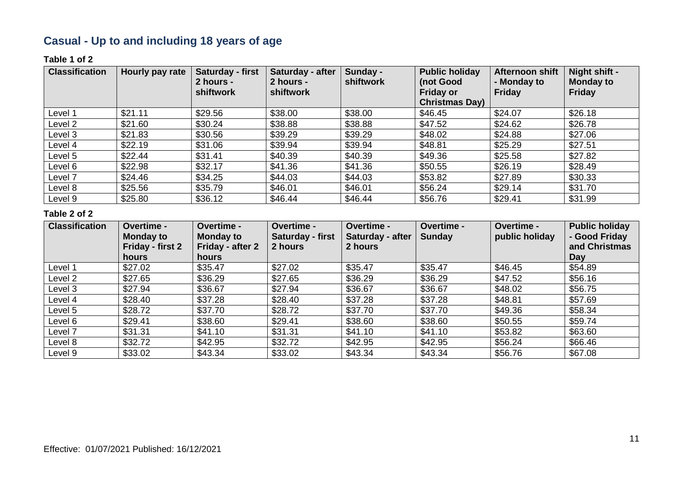# **Casual - Up to and including 18 years of age**

#### **Table 1 of 2**

| <b>Classification</b> | Hourly pay rate | Saturday - first<br>2 hours -<br>shiftwork | Saturday - after<br>2 hours -<br>shiftwork | Sunday -<br>shiftwork | <b>Public holiday</b><br>(not Good<br><b>Friday or</b><br><b>Christmas Day)</b> | Afternoon shift<br>- Monday to<br><b>Friday</b> | Night shift -<br><b>Monday to</b><br><b>Friday</b> |
|-----------------------|-----------------|--------------------------------------------|--------------------------------------------|-----------------------|---------------------------------------------------------------------------------|-------------------------------------------------|----------------------------------------------------|
| Level 1               | \$21.11         | \$29.56                                    | \$38.00                                    | \$38.00               | \$46.45                                                                         | \$24.07                                         | \$26.18                                            |
| Level 2               | \$21.60         | \$30.24                                    | \$38.88                                    | \$38.88               | \$47.52                                                                         | \$24.62                                         | \$26.78                                            |
| Level 3               | \$21.83         | \$30.56                                    | \$39.29                                    | \$39.29               | \$48.02                                                                         | \$24.88                                         | \$27.06                                            |
| Level 4               | \$22.19         | \$31.06                                    | \$39.94                                    | \$39.94               | \$48.81                                                                         | \$25.29                                         | \$27.51                                            |
| Level 5               | \$22.44         | \$31.41                                    | \$40.39                                    | \$40.39               | \$49.36                                                                         | \$25.58                                         | \$27.82                                            |
| Level 6               | \$22.98         | \$32.17                                    | \$41.36                                    | \$41.36               | \$50.55                                                                         | \$26.19                                         | \$28.49                                            |
| Level 7               | \$24.46         | \$34.25                                    | \$44.03                                    | \$44.03               | \$53.82                                                                         | \$27.89                                         | \$30.33                                            |
| Level 8               | \$25.56         | \$35.79                                    | \$46.01                                    | \$46.01               | \$56.24                                                                         | \$29.14                                         | \$31.70                                            |
| Level 9               | \$25.80         | \$36.12                                    | \$46.44                                    | \$46.44               | \$56.76                                                                         | \$29.41                                         | \$31.99                                            |

| <b>Classification</b> | Overtime -<br><b>Monday to</b><br>Friday - first 2<br><b>hours</b> | Overtime -<br><b>Monday to</b><br>Friday - after 2<br><b>hours</b> | Overtime -<br>Saturday - first<br>2 hours | <b>Overtime -</b><br>Saturday - after<br>2 hours | Overtime -<br><b>Sunday</b> | Overtime -<br>public holiday | <b>Public holiday</b><br>- Good Friday<br>and Christmas<br>Day |
|-----------------------|--------------------------------------------------------------------|--------------------------------------------------------------------|-------------------------------------------|--------------------------------------------------|-----------------------------|------------------------------|----------------------------------------------------------------|
| Level 1               | \$27.02                                                            | \$35.47                                                            | \$27.02                                   | \$35.47                                          | \$35.47                     | \$46.45                      | \$54.89                                                        |
| Level 2               | \$27.65                                                            | \$36.29                                                            | \$27.65                                   | \$36.29                                          | \$36.29                     | \$47.52                      | \$56.16                                                        |
| Level 3               | \$27.94                                                            | \$36.67                                                            | \$27.94                                   | \$36.67                                          | \$36.67                     | \$48.02                      | \$56.75                                                        |
| Level 4               | \$28.40                                                            | \$37.28                                                            | \$28.40                                   | \$37.28                                          | \$37.28                     | \$48.81                      | \$57.69                                                        |
| Level 5               | \$28.72                                                            | \$37.70                                                            | \$28.72                                   | \$37.70                                          | \$37.70                     | \$49.36                      | \$58.34                                                        |
| Level 6               | \$29.41                                                            | \$38.60                                                            | \$29.41                                   | \$38.60                                          | \$38.60                     | \$50.55                      | \$59.74                                                        |
| Level 7               | \$31.31                                                            | \$41.10                                                            | \$31.31                                   | \$41.10                                          | \$41.10                     | \$53.82                      | \$63.60                                                        |
| Level 8               | \$32.72                                                            | \$42.95                                                            | \$32.72                                   | \$42.95                                          | \$42.95                     | \$56.24                      | \$66.46                                                        |
| Level 9               | \$33.02                                                            | \$43.34                                                            | \$33.02                                   | \$43.34                                          | \$43.34                     | \$56.76                      | \$67.08                                                        |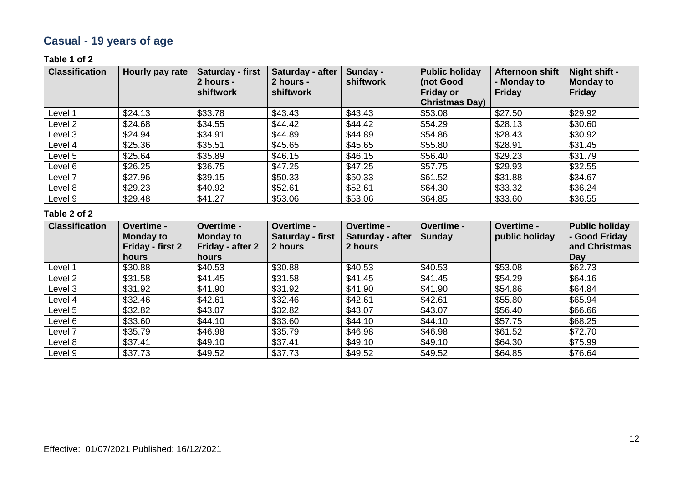# **Casual - 19 years of age**

### **Table 1 of 2**

| <b>Classification</b> | Hourly pay rate | Saturday - first<br>2 hours -<br>shiftwork | Saturday - after<br>2 hours -<br>shiftwork | Sunday -<br>shiftwork | <b>Public holiday</b><br>(not Good<br><b>Friday or</b><br><b>Christmas Day)</b> | Afternoon shift<br>- Monday to<br><b>Friday</b> | Night shift -<br><b>Monday to</b><br><b>Friday</b> |
|-----------------------|-----------------|--------------------------------------------|--------------------------------------------|-----------------------|---------------------------------------------------------------------------------|-------------------------------------------------|----------------------------------------------------|
| Level 1               | \$24.13         | \$33.78                                    | \$43.43                                    | \$43.43               | \$53.08                                                                         | \$27.50                                         | \$29.92                                            |
| Level 2               | \$24.68         | \$34.55                                    | \$44.42                                    | \$44.42               | \$54.29                                                                         | \$28.13                                         | \$30.60                                            |
| Level 3               | \$24.94         | \$34.91                                    | \$44.89                                    | \$44.89               | \$54.86                                                                         | \$28.43                                         | \$30.92                                            |
| Level 4               | \$25.36         | \$35.51                                    | \$45.65                                    | \$45.65               | \$55.80                                                                         | \$28.91                                         | \$31.45                                            |
| Level 5               | \$25.64         | \$35.89                                    | \$46.15                                    | \$46.15               | \$56.40                                                                         | \$29.23                                         | \$31.79                                            |
| Level 6               | \$26.25         | \$36.75                                    | \$47.25                                    | \$47.25               | \$57.75                                                                         | \$29.93                                         | \$32.55                                            |
| Level 7               | \$27.96         | \$39.15                                    | \$50.33                                    | \$50.33               | \$61.52                                                                         | \$31.88                                         | \$34.67                                            |
| Level 8               | \$29.23         | \$40.92                                    | \$52.61                                    | \$52.61               | \$64.30                                                                         | \$33.32                                         | \$36.24                                            |
| Level 9               | \$29.48         | \$41.27                                    | \$53.06                                    | \$53.06               | \$64.85                                                                         | \$33.60                                         | \$36.55                                            |

| <b>Classification</b> | <b>Overtime -</b><br><b>Monday to</b> | Overtime -<br><b>Monday to</b>   | Overtime -<br>Saturday - first | <b>Overtime -</b><br>Saturday - after | <b>Overtime -</b><br><b>Sunday</b> | Overtime -<br>public holiday | <b>Public holiday</b><br>- Good Friday |
|-----------------------|---------------------------------------|----------------------------------|--------------------------------|---------------------------------------|------------------------------------|------------------------------|----------------------------------------|
|                       | Friday - first 2<br><b>hours</b>      | Friday - after 2<br><b>hours</b> | 2 hours                        | 2 hours                               |                                    |                              | and Christmas<br>Day                   |
| Level 1               | \$30.88                               | \$40.53                          | \$30.88                        | \$40.53                               | \$40.53                            | \$53.08                      | \$62.73                                |
| Level 2               | \$31.58                               | \$41.45                          | \$31.58                        | \$41.45                               | \$41.45                            | \$54.29                      | \$64.16                                |
| Level 3               | \$31.92                               | \$41.90                          | \$31.92                        | \$41.90                               | \$41.90                            | \$54.86                      | \$64.84                                |
| Level 4               | \$32.46                               | \$42.61                          | \$32.46                        | \$42.61                               | \$42.61                            | \$55.80                      | \$65.94                                |
| Level 5               | \$32.82                               | \$43.07                          | \$32.82                        | \$43.07                               | \$43.07                            | \$56.40                      | \$66.66                                |
| Level 6               | \$33.60                               | \$44.10                          | \$33.60                        | \$44.10                               | \$44.10                            | \$57.75                      | \$68.25                                |
| Level 7               | \$35.79                               | \$46.98                          | \$35.79                        | \$46.98                               | \$46.98                            | \$61.52                      | \$72.70                                |
| Level 8               | \$37.41                               | \$49.10                          | \$37.41                        | \$49.10                               | \$49.10                            | \$64.30                      | \$75.99                                |
| Level 9               | \$37.73                               | \$49.52                          | \$37.73                        | \$49.52                               | \$49.52                            | \$64.85                      | \$76.64                                |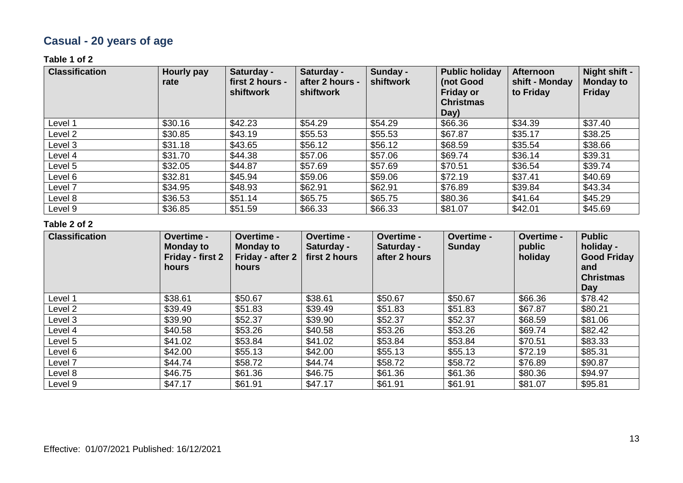# **Casual - 20 years of age**

#### **Table 1 of 2**

| <b>Classification</b> | Hourly pay<br>rate | Saturday -<br>first 2 hours -<br>shiftwork | Saturday -<br>after 2 hours -<br><b>shiftwork</b> | Sunday -<br>shiftwork | <b>Public holiday</b><br>(not Good<br><b>Friday or</b><br><b>Christmas</b><br>Day) | <b>Afternoon</b><br>shift - Monday<br>to Friday | Night shift -<br><b>Monday to</b><br><b>Friday</b> |
|-----------------------|--------------------|--------------------------------------------|---------------------------------------------------|-----------------------|------------------------------------------------------------------------------------|-------------------------------------------------|----------------------------------------------------|
| Level 1               | \$30.16            | \$42.23                                    | \$54.29                                           | \$54.29               | \$66.36                                                                            | \$34.39                                         | \$37.40                                            |
| Level 2               | \$30.85            | \$43.19                                    | \$55.53                                           | \$55.53               | \$67.87                                                                            | \$35.17                                         | \$38.25                                            |
| Level 3               | \$31.18            | \$43.65                                    | \$56.12                                           | \$56.12               | \$68.59                                                                            | \$35.54                                         | \$38.66                                            |
| Level 4               | \$31.70            | \$44.38                                    | \$57.06                                           | \$57.06               | \$69.74                                                                            | \$36.14                                         | \$39.31                                            |
| Level 5               | \$32.05            | \$44.87                                    | \$57.69                                           | \$57.69               | \$70.51                                                                            | \$36.54                                         | \$39.74                                            |
| Level 6               | \$32.81            | \$45.94                                    | \$59.06                                           | \$59.06               | \$72.19                                                                            | \$37.41                                         | \$40.69                                            |
| Level 7               | \$34.95            | \$48.93                                    | \$62.91                                           | \$62.91               | \$76.89                                                                            | \$39.84                                         | \$43.34                                            |
| Level 8               | \$36.53            | \$51.14                                    | \$65.75                                           | \$65.75               | \$80.36                                                                            | \$41.64                                         | \$45.29                                            |
| Level 9               | \$36.85            | \$51.59                                    | \$66.33                                           | \$66.33               | \$81.07                                                                            | \$42.01                                         | \$45.69                                            |

| <b>Classification</b> | <b>Overtime -</b><br><b>Monday to</b><br>Friday - first 2<br>hours | Overtime -<br><b>Monday to</b><br>Friday - after 2<br>hours | <b>Overtime -</b><br>Saturday -<br>first 2 hours | Overtime -<br>Saturday -<br>after 2 hours | Overtime -<br><b>Sunday</b> | Overtime -<br>public<br>holiday | <b>Public</b><br>holiday -<br><b>Good Friday</b><br>and<br><b>Christmas</b><br>Day |
|-----------------------|--------------------------------------------------------------------|-------------------------------------------------------------|--------------------------------------------------|-------------------------------------------|-----------------------------|---------------------------------|------------------------------------------------------------------------------------|
| Level 1               | \$38.61                                                            | \$50.67                                                     | \$38.61                                          | \$50.67                                   | \$50.67                     | \$66.36                         | \$78.42                                                                            |
| Level 2               | \$39.49                                                            | \$51.83                                                     | \$39.49                                          | \$51.83                                   | \$51.83                     | \$67.87                         | \$80.21                                                                            |
| Level 3               | \$39.90                                                            | \$52.37                                                     | \$39.90                                          | \$52.37                                   | \$52.37                     | \$68.59                         | \$81.06                                                                            |
| Level 4               | \$40.58                                                            | \$53.26                                                     | \$40.58                                          | \$53.26                                   | \$53.26                     | \$69.74                         | \$82.42                                                                            |
| Level 5               | \$41.02                                                            | \$53.84                                                     | \$41.02                                          | \$53.84                                   | \$53.84                     | \$70.51                         | \$83.33                                                                            |
| Level 6               | \$42.00                                                            | \$55.13                                                     | \$42.00                                          | \$55.13                                   | \$55.13                     | \$72.19                         | \$85.31                                                                            |
| Level 7               | \$44.74                                                            | \$58.72                                                     | \$44.74                                          | \$58.72                                   | \$58.72                     | \$76.89                         | \$90.87                                                                            |
| Level 8               | \$46.75                                                            | \$61.36                                                     | \$46.75                                          | \$61.36                                   | \$61.36                     | \$80.36                         | \$94.97                                                                            |
| Level 9               | \$47.17                                                            | \$61.91                                                     | \$47.17                                          | \$61.91                                   | \$61.91                     | \$81.07                         | \$95.81                                                                            |